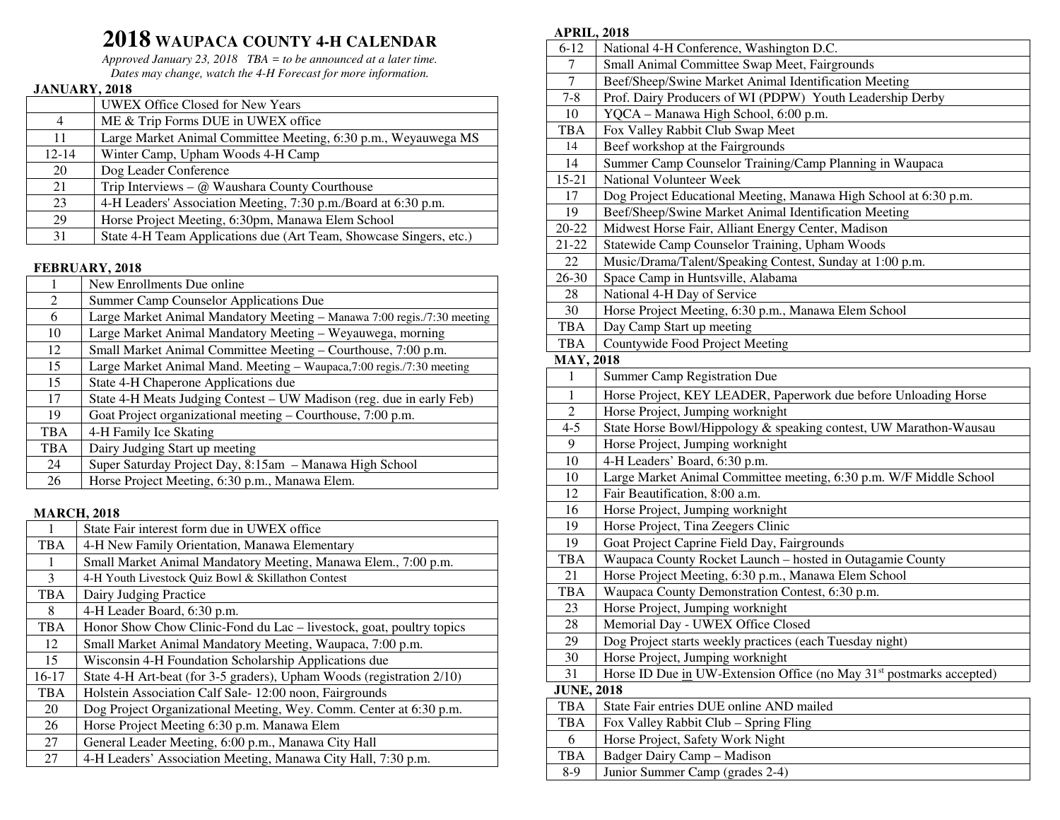# **2018 WAUPACA COUNTY 4-H CALENDAR**

 *Approved January 23, 2018 TBA = to be announced at a later time. Dates may change, watch the 4-H Forecast for more information.*

### **JANUARY, 2018**

|           | UWEX Office Closed for New Years                                   |
|-----------|--------------------------------------------------------------------|
| 4         | ME & Trip Forms DUE in UWEX office                                 |
| 11        | Large Market Animal Committee Meeting, 6:30 p.m., Weyauwega MS     |
| $12 - 14$ | Winter Camp, Upham Woods 4-H Camp                                  |
| 20        | Dog Leader Conference                                              |
| 21        | Trip Interviews – $\omega$ Waushara County Courthouse              |
| 23        | 4-H Leaders' Association Meeting, 7:30 p.m./Board at 6:30 p.m.     |
| 29        | Horse Project Meeting, 6:30pm, Manawa Elem School                  |
| 31        | State 4-H Team Applications due (Art Team, Showcase Singers, etc.) |

## **FEBRUARY, 2018**

|            | New Enrollments Due online                                              |
|------------|-------------------------------------------------------------------------|
| 2          | Summer Camp Counselor Applications Due                                  |
| 6          | Large Market Animal Mandatory Meeting - Manawa 7:00 regis./7:30 meeting |
| 10         | Large Market Animal Mandatory Meeting - Weyauwega, morning              |
| 12         | Small Market Animal Committee Meeting – Courthouse, 7:00 p.m.           |
| 15         | Large Market Animal Mand. Meeting - Waupaca, 7:00 regis./7:30 meeting   |
| 15         | State 4-H Chaperone Applications due                                    |
| 17         | State 4-H Meats Judging Contest – UW Madison (reg. due in early Feb)    |
| 19         | Goat Project organizational meeting - Courthouse, 7:00 p.m.             |
| <b>TBA</b> | 4-H Family Ice Skating                                                  |
| <b>TBA</b> | Dairy Judging Start up meeting                                          |
| 24         | Super Saturday Project Day, 8:15am - Manawa High School                 |
| 26         | Horse Project Meeting, 6:30 p.m., Manawa Elem.                          |

#### **MARCH, 2018**

|            | State Fair interest form due in UWEX office                           |
|------------|-----------------------------------------------------------------------|
| <b>TBA</b> | 4-H New Family Orientation, Manawa Elementary                         |
| 1          | Small Market Animal Mandatory Meeting, Manawa Elem., 7:00 p.m.        |
| 3          | 4-H Youth Livestock Quiz Bowl & Skillathon Contest                    |
| <b>TBA</b> | Dairy Judging Practice                                                |
| 8          | 4-H Leader Board, 6:30 p.m.                                           |
| <b>TBA</b> | Honor Show Chow Clinic-Fond du Lac – livestock, goat, poultry topics  |
| 12         | Small Market Animal Mandatory Meeting, Waupaca, 7:00 p.m.             |
| 15         | Wisconsin 4-H Foundation Scholarship Applications due                 |
| $16-17$    | State 4-H Art-beat (for 3-5 graders), Upham Woods (registration 2/10) |
| <b>TBA</b> | Holstein Association Calf Sale-12:00 noon, Fairgrounds                |
| 20         | Dog Project Organizational Meeting, Wey. Comm. Center at 6:30 p.m.    |
| 26         | Horse Project Meeting 6:30 p.m. Manawa Elem                           |
| 27         | General Leader Meeting, 6:00 p.m., Manawa City Hall                   |
| 27         | 4-H Leaders' Association Meeting, Manawa City Hall, 7:30 p.m.         |

## **APRIL, 2018**

| $6 - 12$          | National 4-H Conference, Washington D.C.                                         |  |
|-------------------|----------------------------------------------------------------------------------|--|
| 7                 | Small Animal Committee Swap Meet, Fairgrounds                                    |  |
| $\overline{7}$    | Beef/Sheep/Swine Market Animal Identification Meeting                            |  |
| $7 - 8$           | Prof. Dairy Producers of WI (PDPW) Youth Leadership Derby                        |  |
| 10                | YQCA - Manawa High School, 6:00 p.m.                                             |  |
| <b>TBA</b>        | Fox Valley Rabbit Club Swap Meet                                                 |  |
| 14                | Beef workshop at the Fairgrounds                                                 |  |
| 14                | Summer Camp Counselor Training/Camp Planning in Waupaca                          |  |
| $15 - 21$         | National Volunteer Week                                                          |  |
| 17                | Dog Project Educational Meeting, Manawa High School at 6:30 p.m.                 |  |
| 19                | Beef/Sheep/Swine Market Animal Identification Meeting                            |  |
| $20 - 22$         | Midwest Horse Fair, Alliant Energy Center, Madison                               |  |
| $21 - 22$         | Statewide Camp Counselor Training, Upham Woods                                   |  |
| 22                | Music/Drama/Talent/Speaking Contest, Sunday at 1:00 p.m.                         |  |
| $26 - 30$         | Space Camp in Huntsville, Alabama                                                |  |
| 28                | National 4-H Day of Service                                                      |  |
| 30                | Horse Project Meeting, 6:30 p.m., Manawa Elem School                             |  |
| <b>TBA</b>        | Day Camp Start up meeting                                                        |  |
| <b>TBA</b>        | Countywide Food Project Meeting                                                  |  |
| <b>MAY, 2018</b>  |                                                                                  |  |
| $\mathbf{1}$      | Summer Camp Registration Due                                                     |  |
| $\mathbf{1}$      | Horse Project, KEY LEADER, Paperwork due before Unloading Horse                  |  |
| $\overline{2}$    | Horse Project, Jumping worknight                                                 |  |
| $4 - 5$           | State Horse Bowl/Hippology & speaking contest, UW Marathon-Wausau                |  |
| 9                 | Horse Project, Jumping worknight                                                 |  |
| 10                | 4-H Leaders' Board, 6:30 p.m.                                                    |  |
| 10                | Large Market Animal Committee meeting, 6:30 p.m. W/F Middle School               |  |
| 12                | Fair Beautification, 8:00 a.m.                                                   |  |
| 16                | Horse Project, Jumping worknight                                                 |  |
| 19                | Horse Project, Tina Zeegers Clinic                                               |  |
| 19                | Goat Project Caprine Field Day, Fairgrounds                                      |  |
| TBA               | Waupaca County Rocket Launch - hosted in Outagamie County                        |  |
| 21                | Horse Project Meeting, 6:30 p.m., Manawa Elem School                             |  |
| <b>TBA</b>        | Waupaca County Demonstration Contest, 6:30 p.m.                                  |  |
| 23                | Horse Project, Jumping worknight                                                 |  |
| 28                | Memorial Day - UWEX Office Closed                                                |  |
| 29                | Dog Project starts weekly practices (each Tuesday night)                         |  |
| 30                | Horse Project, Jumping worknight                                                 |  |
| 31                | Horse ID Due in UW-Extension Office (no May 31 <sup>st</sup> postmarks accepted) |  |
| <b>JUNE, 2018</b> |                                                                                  |  |
| <b>TBA</b>        | State Fair entries DUE online AND mailed                                         |  |
| TBA               | Fox Valley Rabbit Club - Spring Fling                                            |  |
| 6                 | Horse Project, Safety Work Night                                                 |  |
| <b>TBA</b>        | Badger Dairy Camp - Madison                                                      |  |
| $8-9$             | Junior Summer Camp (grades 2-4)                                                  |  |